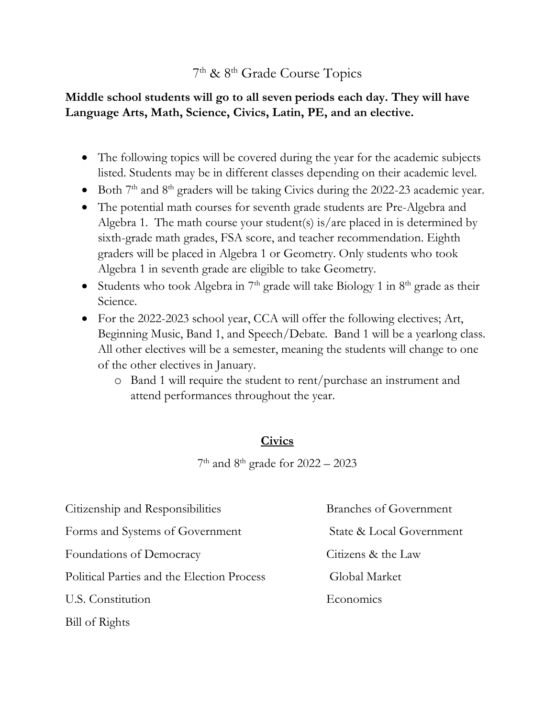# 7<sup>th</sup> & 8<sup>th</sup> Grade Course Topics

## **Middle school students will go to all seven periods each day. They will have Language Arts, Math, Science, Civics, Latin, PE, and an elective.**

- The following topics will be covered during the year for the academic subjects listed. Students may be in different classes depending on their academic level.
- Both  $7<sup>th</sup>$  and  $8<sup>th</sup>$  graders will be taking Civics during the 2022-23 academic year.
- The potential math courses for seventh grade students are Pre-Algebra and Algebra 1. The math course your student(s) is/are placed in is determined by sixth-grade math grades, FSA score, and teacher recommendation. Eighth graders will be placed in Algebra 1 or Geometry. Only students who took Algebra 1 in seventh grade are eligible to take Geometry.
- Students who took Algebra in  $7<sup>th</sup>$  grade will take Biology 1 in  $8<sup>th</sup>$  grade as their Science.
- For the 2022-2023 school year, CCA will offer the following electives; Art, Beginning Music, Band 1, and Speech/Debate. Band 1 will be a yearlong class. All other electives will be a semester, meaning the students will change to one of the other electives in January.
	- o Band 1 will require the student to rent/purchase an instrument and attend performances throughout the year.

## **Civics**

7 th and 8th grade for 2022 – 2023

| Citizenship and Responsibilities           | <b>Branches of Government</b> |
|--------------------------------------------|-------------------------------|
| Forms and Systems of Government            | State & Local Government      |
| Foundations of Democracy                   | Citizens & the Law            |
| Political Parties and the Election Process | Global Market                 |
| U.S. Constitution                          | Economics                     |
| Bill of Rights                             |                               |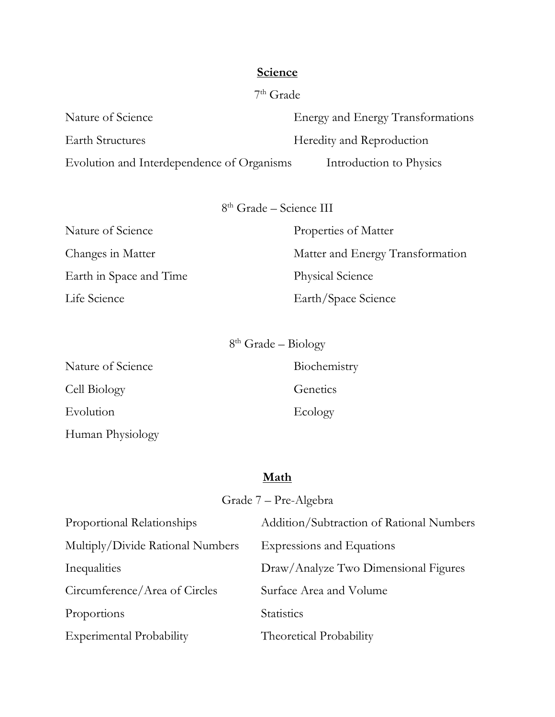### **Science**

Nature of Science **Energy and Energy Transformations** Earth Structures Heredity and Reproduction Evolution and Interdependence of Organisms Introduction to Physics

8 th Grade – Science III

Earth in Space and Time Physical Science

Nature of Science Properties of Matter Changes in Matter Matter Matter and Energy Transformation Life Science Earth/Space Science

8 th Grade – Biology

Nature of Science Biochemistry Cell Biology Genetics Evolution Ecology Human Physiology

## **Math**

| Grade 7 – Pre-Algebra            |                                          |  |
|----------------------------------|------------------------------------------|--|
| Proportional Relationships       | Addition/Subtraction of Rational Numbers |  |
| Multiply/Divide Rational Numbers | Expressions and Equations                |  |
| Inequalities                     | Draw/Analyze Two Dimensional Figures     |  |
| Circumference/Area of Circles    | Surface Area and Volume                  |  |
| Proportions                      | <b>Statistics</b>                        |  |
| <b>Experimental Probability</b>  | <b>Theoretical Probability</b>           |  |

# 7 th Grade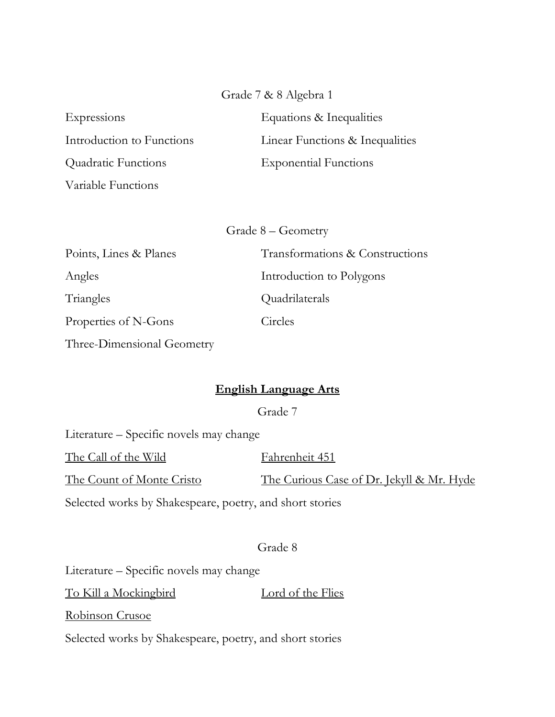Grade 7 & 8 Algebra 1

Quadratic Functions Exponential Functions Variable Functions

Expressions Equations & Inequalities Introduction to Functions Linear Functions & Inequalities

Grade 8 – Geometry

| Points, Lines & Planes     | Transformations & Constructions |
|----------------------------|---------------------------------|
| Angles                     | Introduction to Polygons        |
| Triangles                  | Quadrilaterals                  |
| Properties of N-Gons       | Circles                         |
| Three-Dimensional Geometry |                                 |

## **English Language Arts**

Grade 7

Literature – Specific novels may change The Call of the Wild Fahrenheit 451 The Count of Monte Cristo The Curious Case of Dr. Jekyll & Mr. Hyde Selected works by Shakespeare, poetry, and short stories

Grade 8

Literature – Specific novels may change To Kill a Mockingbird Lord of the Flies Robinson Crusoe Selected works by Shakespeare, poetry, and short stories